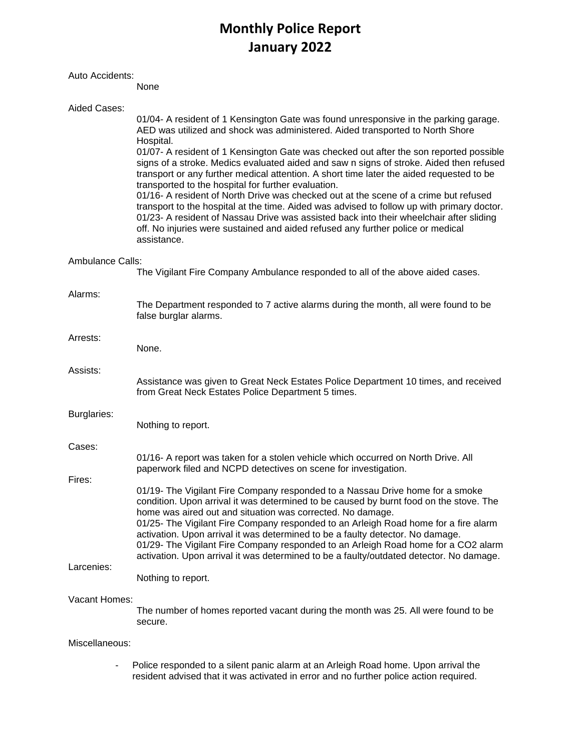# **Monthly Police Report January 2022**

#### Auto Accidents:

None

| Aided Cases:     |                                                                                                                                                                                                                                                                                                                                                                                                                              |
|------------------|------------------------------------------------------------------------------------------------------------------------------------------------------------------------------------------------------------------------------------------------------------------------------------------------------------------------------------------------------------------------------------------------------------------------------|
|                  | 01/04- A resident of 1 Kensington Gate was found unresponsive in the parking garage.<br>AED was utilized and shock was administered. Aided transported to North Shore<br>Hospital.                                                                                                                                                                                                                                           |
|                  | 01/07- A resident of 1 Kensington Gate was checked out after the son reported possible<br>signs of a stroke. Medics evaluated aided and saw n signs of stroke. Aided then refused<br>transport or any further medical attention. A short time later the aided requested to be<br>transported to the hospital for further evaluation.<br>01/16- A resident of North Drive was checked out at the scene of a crime but refused |
|                  | transport to the hospital at the time. Aided was advised to follow up with primary doctor.<br>01/23- A resident of Nassau Drive was assisted back into their wheelchair after sliding<br>off. No injuries were sustained and aided refused any further police or medical<br>assistance.                                                                                                                                      |
| Ambulance Calls: |                                                                                                                                                                                                                                                                                                                                                                                                                              |
|                  | The Vigilant Fire Company Ambulance responded to all of the above aided cases.                                                                                                                                                                                                                                                                                                                                               |
| Alarms:          | The Department responded to 7 active alarms during the month, all were found to be<br>false burglar alarms.                                                                                                                                                                                                                                                                                                                  |
| Arrests:         |                                                                                                                                                                                                                                                                                                                                                                                                                              |
|                  | None.                                                                                                                                                                                                                                                                                                                                                                                                                        |
| Assists:         | Assistance was given to Great Neck Estates Police Department 10 times, and received<br>from Great Neck Estates Police Department 5 times.                                                                                                                                                                                                                                                                                    |
| Burglaries:      | Nothing to report.                                                                                                                                                                                                                                                                                                                                                                                                           |
| Cases:           |                                                                                                                                                                                                                                                                                                                                                                                                                              |
|                  | 01/16- A report was taken for a stolen vehicle which occurred on North Drive. All<br>paperwork filed and NCPD detectives on scene for investigation.                                                                                                                                                                                                                                                                         |
| Fires:           |                                                                                                                                                                                                                                                                                                                                                                                                                              |
|                  | 01/19- The Vigilant Fire Company responded to a Nassau Drive home for a smoke<br>condition. Upon arrival it was determined to be caused by burnt food on the stove. The<br>home was aired out and situation was corrected. No damage.                                                                                                                                                                                        |
|                  | 01/25- The Vigilant Fire Company responded to an Arleigh Road home for a fire alarm<br>activation. Upon arrival it was determined to be a faulty detector. No damage.<br>01/29- The Vigilant Fire Company responded to an Arleigh Road home for a CO2 alarm<br>activation. Upon arrival it was determined to be a faulty/outdated detector. No damage.                                                                       |
| Larcenies:       |                                                                                                                                                                                                                                                                                                                                                                                                                              |
|                  | Nothing to report.                                                                                                                                                                                                                                                                                                                                                                                                           |
| Vacant Homes:    | The number of homes reported vacant during the month was 25. All were found to be<br>secure.                                                                                                                                                                                                                                                                                                                                 |
| Miscellaneous:   |                                                                                                                                                                                                                                                                                                                                                                                                                              |

- Police responded to a silent panic alarm at an Arleigh Road home. Upon arrival the resident advised that it was activated in error and no further police action required.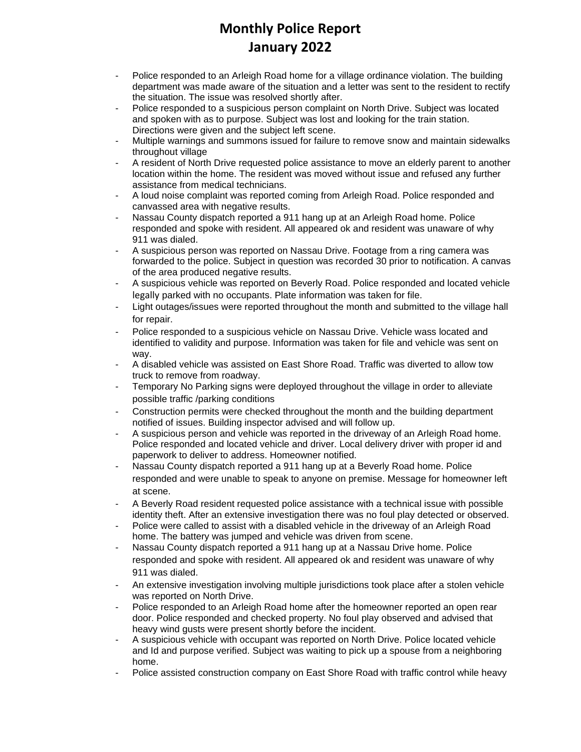## **Monthly Police Report January 2022**

- Police responded to an Arleigh Road home for a village ordinance violation. The building department was made aware of the situation and a letter was sent to the resident to rectify the situation. The issue was resolved shortly after.
- Police responded to a suspicious person complaint on North Drive. Subject was located and spoken with as to purpose. Subject was lost and looking for the train station. Directions were given and the subject left scene.
- Multiple warnings and summons issued for failure to remove snow and maintain sidewalks throughout village
- A resident of North Drive requested police assistance to move an elderly parent to another location within the home. The resident was moved without issue and refused any further assistance from medical technicians.
- A loud noise complaint was reported coming from Arleigh Road. Police responded and canvassed area with negative results.
- Nassau County dispatch reported a 911 hang up at an Arleigh Road home. Police responded and spoke with resident. All appeared ok and resident was unaware of why 911 was dialed.
- A suspicious person was reported on Nassau Drive. Footage from a ring camera was forwarded to the police. Subject in question was recorded 30 prior to notification. A canvas of the area produced negative results.
- A suspicious vehicle was reported on Beverly Road. Police responded and located vehicle legally parked with no occupants. Plate information was taken for file.
- Light outages/issues were reported throughout the month and submitted to the village hall for repair.
- Police responded to a suspicious vehicle on Nassau Drive. Vehicle wass located and identified to validity and purpose. Information was taken for file and vehicle was sent on way.
- A disabled vehicle was assisted on East Shore Road. Traffic was diverted to allow tow truck to remove from roadway.
- Temporary No Parking signs were deployed throughout the village in order to alleviate possible traffic /parking conditions
- Construction permits were checked throughout the month and the building department notified of issues. Building inspector advised and will follow up.
- A suspicious person and vehicle was reported in the driveway of an Arleigh Road home. Police responded and located vehicle and driver. Local delivery driver with proper id and paperwork to deliver to address. Homeowner notified.
- Nassau County dispatch reported a 911 hang up at a Beverly Road home. Police responded and were unable to speak to anyone on premise. Message for homeowner left at scene.
- A Beverly Road resident requested police assistance with a technical issue with possible identity theft. After an extensive investigation there was no foul play detected or observed.
- Police were called to assist with a disabled vehicle in the driveway of an Arleigh Road home. The battery was jumped and vehicle was driven from scene.
- Nassau County dispatch reported a 911 hang up at a Nassau Drive home. Police responded and spoke with resident. All appeared ok and resident was unaware of why 911 was dialed.
- An extensive investigation involving multiple jurisdictions took place after a stolen vehicle was reported on North Drive.
- Police responded to an Arleigh Road home after the homeowner reported an open rear door. Police responded and checked property. No foul play observed and advised that heavy wind gusts were present shortly before the incident.
- A suspicious vehicle with occupant was reported on North Drive. Police located vehicle and Id and purpose verified. Subject was waiting to pick up a spouse from a neighboring home.
- Police assisted construction company on East Shore Road with traffic control while heavy